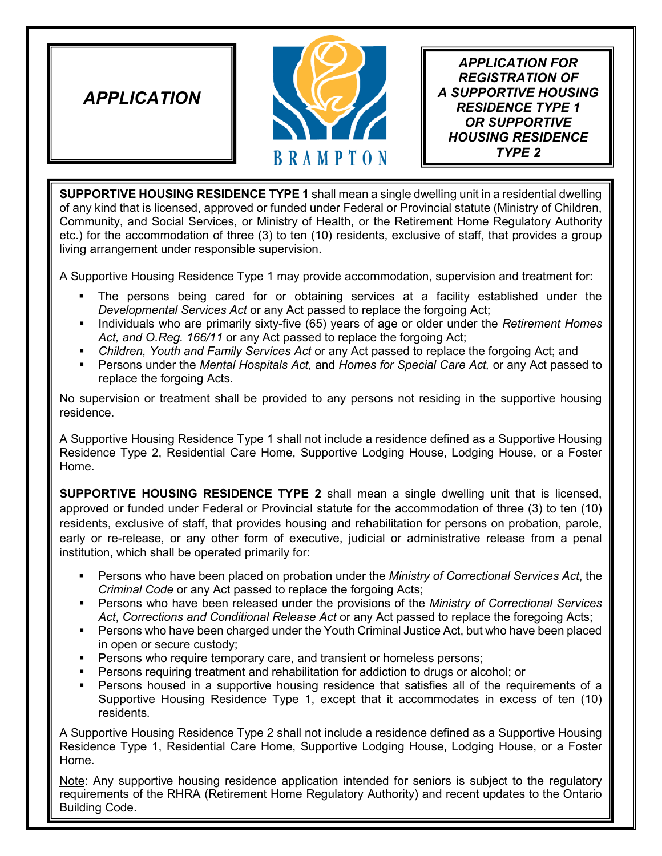*APPLICATION* 



*APPLICATION FOR REGISTRATION OF A SUPPORTIVE HOUSING RESIDENCE TYPE 1 OR SUPPORTIVE HOUSING RESIDENCE TYPE 2*

**SUPPORTIVE HOUSING RESIDENCE TYPE 1** shall mean a single dwelling unit in a residential dwelling of any kind that is licensed, approved or funded under Federal or Provincial statute (Ministry of Children, Community, and Social Services, or Ministry of Health, or the Retirement Home Regulatory Authority etc.) for the accommodation of three (3) to ten (10) residents, exclusive of staff, that provides a group living arrangement under responsible supervision.

A Supportive Housing Residence Type 1 may provide accommodation, supervision and treatment for:

- The persons being cared for or obtaining services at a facility established under the *Developmental Services Act* or any Act passed to replace the forgoing Act;
- **Individuals who are primarily sixty-five (65) years of age or older under the** *Retirement Homes Act, and O.Reg. 166/11* or any Act passed to replace the forgoing Act;
- **Children, Youth and Family Services Act or any Act passed to replace the forgoing Act; and**
- Persons under the *Mental Hospitals Act,* and *Homes for Special Care Act,* or any Act passed to replace the forgoing Acts.

No supervision or treatment shall be provided to any persons not residing in the supportive housing residence.

A Supportive Housing Residence Type 1 shall not include a residence defined as a Supportive Housing Residence Type 2, Residential Care Home, Supportive Lodging House, Lodging House, or a Foster Home.

**SUPPORTIVE HOUSING RESIDENCE TYPE 2** shall mean a single dwelling unit that is licensed, approved or funded under Federal or Provincial statute for the accommodation of three (3) to ten (10) residents, exclusive of staff, that provides housing and rehabilitation for persons on probation, parole, early or re-release, or any other form of executive, judicial or administrative release from a penal institution, which shall be operated primarily for:

- Persons who have been placed on probation under the *Ministry of Correctional Services Act*, the *Criminal Code* or any Act passed to replace the forgoing Acts;
- Persons who have been released under the provisions of the *Ministry of Correctional Services Act*, *Corrections and Conditional Release Act* or any Act passed to replace the foregoing Acts;
- Persons who have been charged under the Youth Criminal Justice Act, but who have been placed in open or secure custody;
- **Persons who require temporary care, and transient or homeless persons;**
- **Persons requiring treatment and rehabilitation for addiction to drugs or alcohol; or**
- Persons housed in a supportive housing residence that satisfies all of the requirements of a Supportive Housing Residence Type 1, except that it accommodates in excess of ten (10) residents.

A Supportive Housing Residence Type 2 shall not include a residence defined as a Supportive Housing Residence Type 1, Residential Care Home, Supportive Lodging House, Lodging House, or a Foster Home.

Note: Any supportive housing residence application intended for seniors is subject to the regulatory requirements of the RHRA (Retirement Home Regulatory Authority) and recent updates to the Ontario Building Code.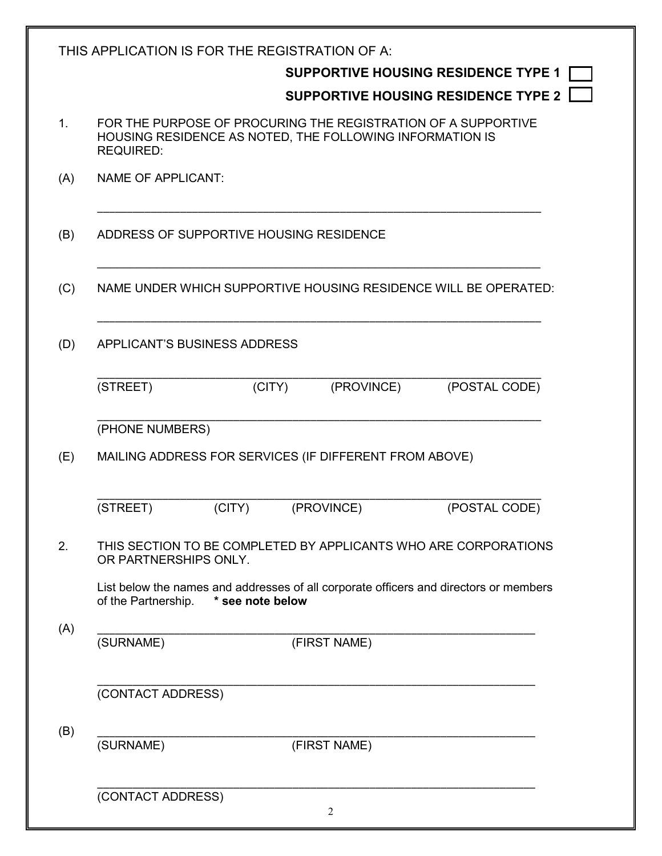|     | THIS APPLICATION IS FOR THE REGISTRATION OF A:<br>SUPPORTIVE HOUSING RESIDENCE TYPE 1<br><b>SUPPORTIVE HOUSING RESIDENCE TYPE 2</b>           |
|-----|-----------------------------------------------------------------------------------------------------------------------------------------------|
| 1.  | FOR THE PURPOSE OF PROCURING THE REGISTRATION OF A SUPPORTIVE<br>HOUSING RESIDENCE AS NOTED, THE FOLLOWING INFORMATION IS<br><b>REQUIRED:</b> |
| (A) | <b>NAME OF APPLICANT:</b>                                                                                                                     |
| (B) | ADDRESS OF SUPPORTIVE HOUSING RESIDENCE                                                                                                       |
| (C) | NAME UNDER WHICH SUPPORTIVE HOUSING RESIDENCE WILL BE OPERATED:                                                                               |
| (D) | APPLICANT'S BUSINESS ADDRESS                                                                                                                  |
|     | (POSTAL CODE)<br>(STREET)<br>(PROVINCE)<br>(CITY)                                                                                             |
|     | (PHONE NUMBERS)                                                                                                                               |
| (E) | MAILING ADDRESS FOR SERVICES (IF DIFFERENT FROM ABOVE)                                                                                        |
|     | (STREET)<br>(CITY)<br>(PROVINCE)<br>(POSTAL CODE)                                                                                             |
| 2.  | THIS SECTION TO BE COMPLETED BY APPLICANTS WHO ARE CORPORATIONS<br>OR PARTNERSHIPS ONLY.                                                      |
|     | List below the names and addresses of all corporate officers and directors or members<br>of the Partnership.<br>* see note below              |
| (A) | (SURNAME)<br>(FIRST NAME)                                                                                                                     |
|     | (CONTACT ADDRESS)                                                                                                                             |
| (B) | (SURNAME)<br>(FIRST NAME)                                                                                                                     |
|     | (CONTACT ADDRESS)<br>2                                                                                                                        |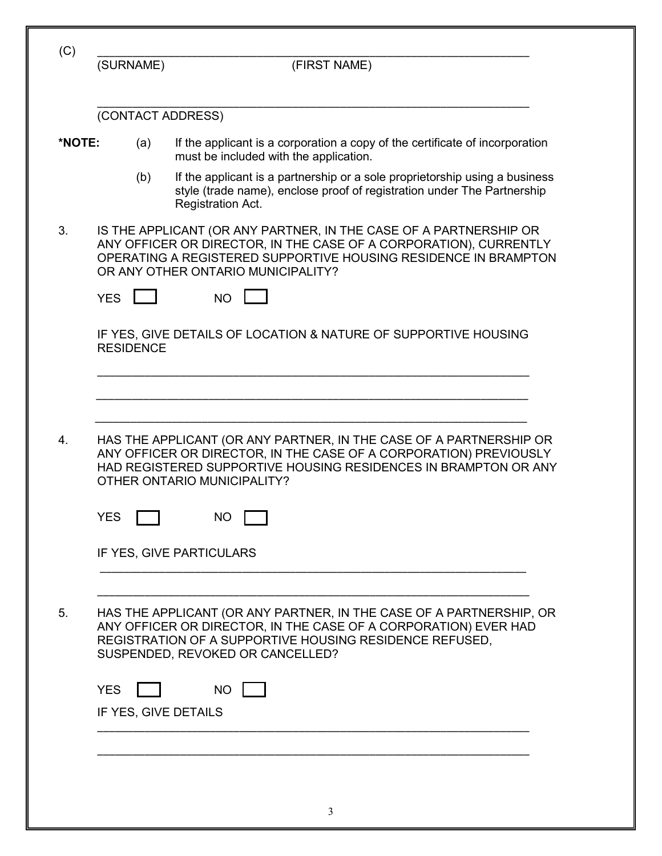|                   | (FIRST NAME)                                                                                                                                                                                                                                    |
|-------------------|-------------------------------------------------------------------------------------------------------------------------------------------------------------------------------------------------------------------------------------------------|
| (CONTACT ADDRESS) |                                                                                                                                                                                                                                                 |
| (a)               | If the applicant is a corporation a copy of the certificate of incorporation<br>must be included with the application.                                                                                                                          |
| (b)               | If the applicant is a partnership or a sole proprietorship using a business<br>style (trade name), enclose proof of registration under The Partnership<br>Registration Act.                                                                     |
|                   | IS THE APPLICANT (OR ANY PARTNER, IN THE CASE OF A PARTNERSHIP OR<br>ANY OFFICER OR DIRECTOR, IN THE CASE OF A CORPORATION), CURRENTLY<br>OPERATING A REGISTERED SUPPORTIVE HOUSING RESIDENCE IN BRAMPTON<br>OR ANY OTHER ONTARIO MUNICIPALITY? |
|                   | <b>NO</b>                                                                                                                                                                                                                                       |
|                   | IF YES, GIVE DETAILS OF LOCATION & NATURE OF SUPPORTIVE HOUSING                                                                                                                                                                                 |
|                   |                                                                                                                                                                                                                                                 |
|                   |                                                                                                                                                                                                                                                 |
|                   | HAS THE APPLICANT (OR ANY PARTNER, IN THE CASE OF A PARTNERSHIP OR<br>ANY OFFICER OR DIRECTOR, IN THE CASE OF A CORPORATION) PREVIOUSLY<br>HAD REGISTERED SUPPORTIVE HOUSING RESIDENCES IN BRAMPTON OR ANY<br>OTHER ONTARIO MUNICIPALITY?       |
|                   | NO                                                                                                                                                                                                                                              |
|                   | IF YES, GIVE PARTICULARS                                                                                                                                                                                                                        |
|                   |                                                                                                                                                                                                                                                 |
|                   | HAS THE APPLICANT (OR ANY PARTNER, IN THE CASE OF A PARTNERSHIP, OR<br>ANY OFFICER OR DIRECTOR, IN THE CASE OF A CORPORATION) EVER HAD<br>REGISTRATION OF A SUPPORTIVE HOUSING RESIDENCE REFUSED,<br>SUSPENDED, REVOKED OR CANCELLED?           |
|                   | NO                                                                                                                                                                                                                                              |
|                   | (SURNAME)<br><b>YES</b><br><b>RESIDENCE</b><br>YES<br><b>YES</b>                                                                                                                                                                                |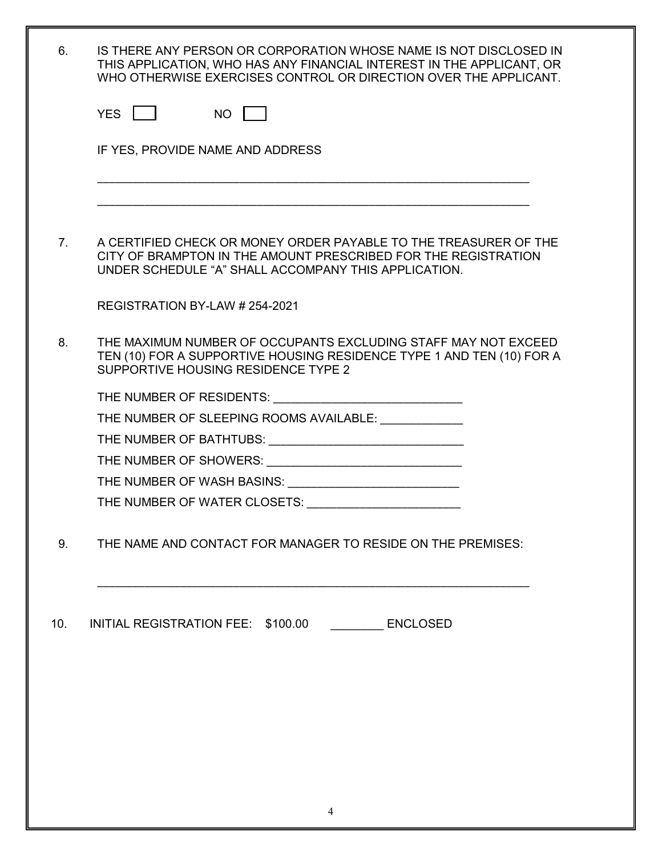| 6.             | IS THERE ANY PERSON OR CORPORATION WHOSE NAME IS NOT DISCLOSED IN<br>THIS APPLICATION, WHO HAS ANY FINANCIAL INTEREST IN THE APPLICANT, OR<br>WHO OTHERWISE EXERCISES CONTROL OR DIRECTION OVER THE APPLICANT. |
|----------------|----------------------------------------------------------------------------------------------------------------------------------------------------------------------------------------------------------------|
|                | YES I I<br>NO I                                                                                                                                                                                                |
|                | IF YES, PROVIDE NAME AND ADDRESS                                                                                                                                                                               |
|                |                                                                                                                                                                                                                |
|                |                                                                                                                                                                                                                |
| 7 <sub>1</sub> | A CERTIFIED CHECK OR MONEY ORDER PAYABLE TO THE TREASURER OF THE<br>CITY OF BRAMPTON IN THE AMOUNT PRESCRIBED FOR THE REGISTRATION<br>UNDER SCHEDULE "A" SHALL ACCOMPANY THIS APPLICATION.                     |
|                | REGISTRATION BY-LAW # 254-2021                                                                                                                                                                                 |
| 8.             | THE MAXIMUM NUMBER OF OCCUPANTS EXCLUDING STAFF MAY NOT EXCEED<br>TEN (10) FOR A SUPPORTIVE HOUSING RESIDENCE TYPE 1 AND TEN (10) FOR A<br>SUPPORTIVE HOUSING RESIDENCE TYPE 2                                 |
|                |                                                                                                                                                                                                                |
|                | THE NUMBER OF SLEEPING ROOMS AVAILABLE: University of the NUMBER OF SLEEPING ROOMS AVAILABLE:                                                                                                                  |
|                |                                                                                                                                                                                                                |
|                |                                                                                                                                                                                                                |
|                | THE NUMBER OF WASH BASINS: ______________________________                                                                                                                                                      |
|                |                                                                                                                                                                                                                |
| 9.             | THE NAME AND CONTACT FOR MANAGER TO RESIDE ON THE PREMISES:                                                                                                                                                    |
| 10.            | INITIAL REGISTRATION FEE: \$100.00 ENCLOSED                                                                                                                                                                    |
|                |                                                                                                                                                                                                                |
|                |                                                                                                                                                                                                                |
|                |                                                                                                                                                                                                                |
|                |                                                                                                                                                                                                                |
|                |                                                                                                                                                                                                                |
|                |                                                                                                                                                                                                                |
|                |                                                                                                                                                                                                                |